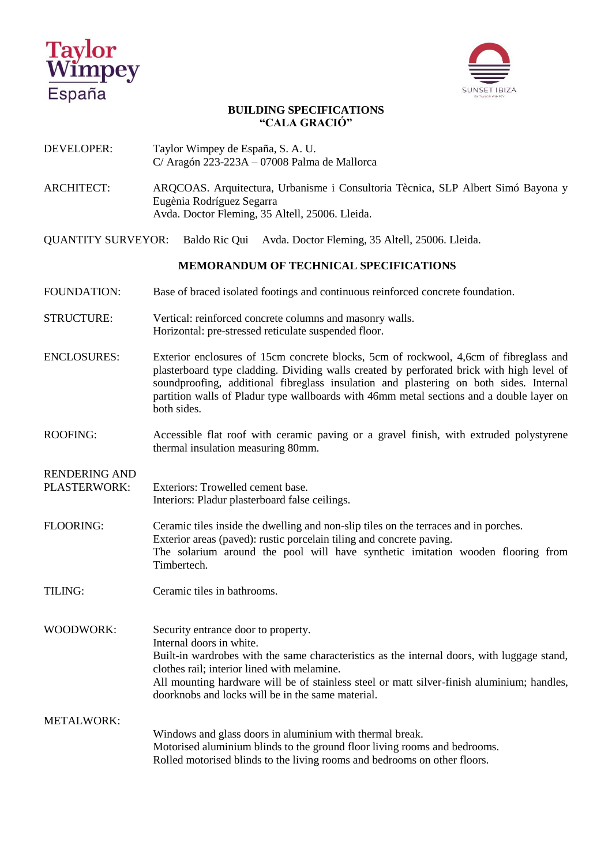



## **BUILDING SPECIFICATIONS "CALA GRACIÓ"**

- DEVELOPER: Taylor Wimpey de España, S. A. U. C/ Aragón 223-223A – 07008 Palma de Mallorca
- ARCHITECT: ARQCOAS. Arquitectura, Urbanisme i Consultoria Tècnica, SLP Albert Simó Bayona y Eugènia Rodríguez Segarra Avda. Doctor Fleming, 35 Altell, 25006. Lleida.
- QUANTITY SURVEYOR: Baldo Ric Qui Avda. Doctor Fleming, 35 Altell, 25006. Lleida.

## **MEMORANDUM OF TECHNICAL SPECIFICATIONS**

- FOUNDATION: Base of braced isolated footings and continuous reinforced concrete foundation.
- STRUCTURE: Vertical: reinforced concrete columns and masonry walls. Horizontal: pre-stressed reticulate suspended floor.
- ENCLOSURES: Exterior enclosures of 15cm concrete blocks, 5cm of rockwool, 4,6cm of fibreglass and plasterboard type cladding. Dividing walls created by perforated brick with high level of soundproofing, additional fibreglass insulation and plastering on both sides. Internal partition walls of Pladur type wallboards with 46mm metal sections and a double layer on both sides.
- ROOFING: Accessible flat roof with ceramic paving or a gravel finish, with extruded polystyrene thermal insulation measuring 80mm.

RENDERING AND

- PLASTERWORK: Exteriors: Trowelled cement base. Interiors: Pladur plasterboard false ceilings.
- FLOORING: Ceramic tiles inside the dwelling and non-slip tiles on the terraces and in porches. Exterior areas (paved): rustic porcelain tiling and concrete paving. The solarium around the pool will have synthetic imitation wooden flooring from Timbertech.
- TILING: Ceramic tiles in bathrooms.

WOODWORK: Security entrance door to property. Internal doors in white. Built-in wardrobes with the same characteristics as the internal doors, with luggage stand, clothes rail; interior lined with melamine. All mounting hardware will be of stainless steel or matt silver-finish aluminium; handles, doorknobs and locks will be in the same material. METALWORK:

Windows and glass doors in aluminium with thermal break. Motorised aluminium blinds to the ground floor living rooms and bedrooms. Rolled motorised blinds to the living rooms and bedrooms on other floors.